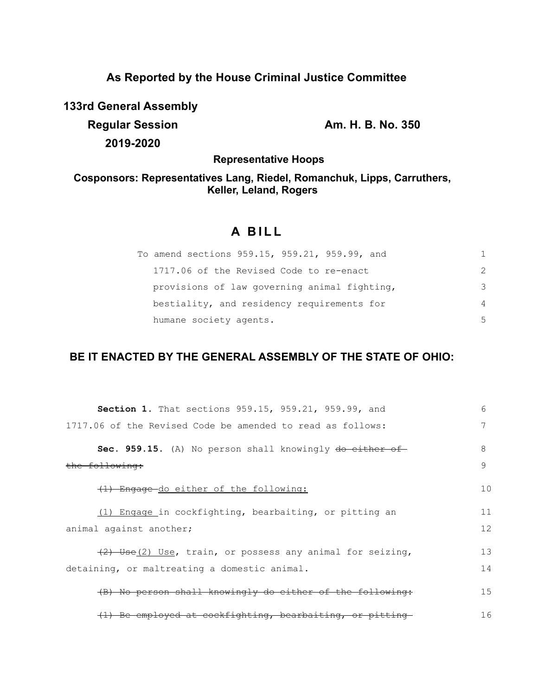## **As Reported by the House Criminal Justice Committee**

**133rd General Assembly**

**Regular Session Am. H. B. No. 350 2019-2020**

**Representative Hoops**

## **Cosponsors: Representatives Lang, Riedel, Romanchuk, Lipps, Carruthers, Keller, Leland, Rogers**

# **A B I L L**

| To amend sections 959.15, 959.21, 959.99, and |               |
|-----------------------------------------------|---------------|
| 1717.06 of the Revised Code to re-enact       | $\mathcal{P}$ |
| provisions of law governing animal fighting,  | 3             |
| bestiality, and residency requirements for    | 4             |
| humane society agents.                        | .5            |

## **BE IT ENACTED BY THE GENERAL ASSEMBLY OF THE STATE OF OHIO:**

| <b>Section 1.</b> That sections 959.15, 959.21, 959.99, and | 6            |
|-------------------------------------------------------------|--------------|
| 1717.06 of the Revised Code be amended to read as follows:  | 7            |
| Sec. 959.15. (A) No person shall knowingly do either of     | 8            |
| the following:                                              | $\mathsf{Q}$ |
| (1) Engage-do either of the following:                      | 10           |
| (1) Engage in cockfighting, bearbaiting, or pitting an      | 11           |
| animal against another;                                     | 12           |
| $(2)$ Use(2) Use, train, or possess any animal for seizing, | 13           |
| detaining, or maltreating a domestic animal.                | 14           |
| (B) No person shall knowingly do either of the following:   | 15           |
| (1) Be employed at cockfighting, bearbaiting, or pitting    | 16           |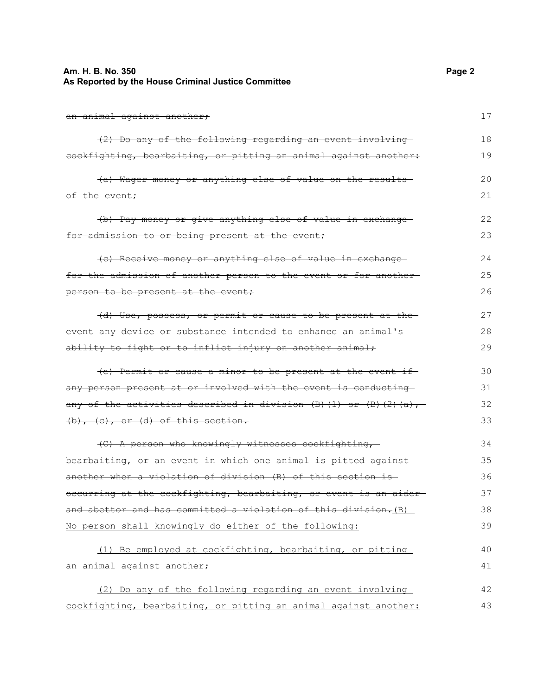### **Am. H. B. No. 350 Page 2 As Reported by the House Criminal Justice Committee**

an animal against another; (2) Do any of the following regarding an event involving cockfighting, bearbaiting, or pitting an animal against another: (a) Wager money or anything else of value on the results of the event; (b) Pay money or give anything else of value in exchange for admission to or being present at the event; (c) Receive money or anything else of value in exchange for the admission of another person to the event or for another person to be present at the event; (d) Use, possess, or permit or cause to be present at the event any device or substance intended to enhance an animal's ability to fight or to inflict injury on another animal; (e) Permit or cause a minor to be present at the event if any person present at or involved with the event is conducting any of the activities described in division  $(B)$  (1) or  $(B)$  (2)(a), (b), (c), or (d) of this section. (C) A person who knowingly witnesses cockfighting, bearbaiting, or an event in which one animal is pitted against another when a violation of division (B) of this section is occurring at the cockfighting, bearbaiting, or event is an aider and abettor and has committed a violation of this division. (B) No person shall knowingly do either of the following: (1) Be employed at cockfighting, bearbaiting, or pitting an animal against another; (2) Do any of the following regarding an event involving cockfighting, bearbaiting, or pitting an animal against another: 17 18 19 20 21 22 23 24 25 26 27 28 29 30 31 32 33 34 35 36 37 38 39 40 41 42 43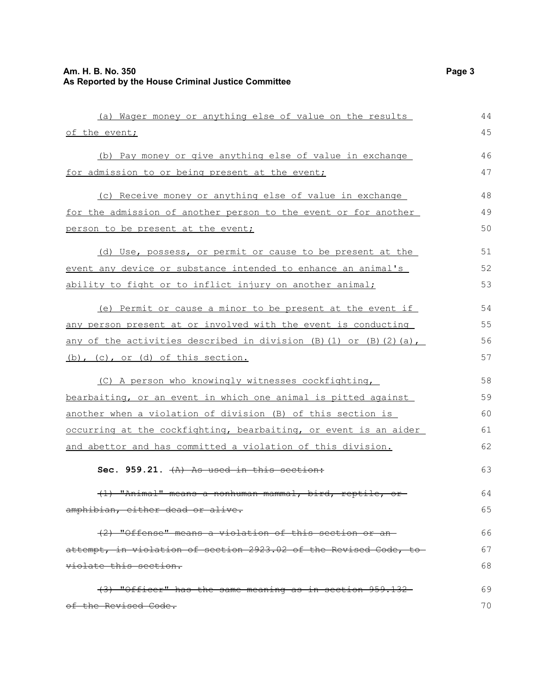| (a) Wager money or anything else of value on the results                | 44 |
|-------------------------------------------------------------------------|----|
| of the event;                                                           | 45 |
| (b) Pay money or give anything else of value in exchange                | 46 |
| for admission to or being present at the event;                         | 47 |
| (c) Receive money or anything else of value in exchange                 | 48 |
| <u>for the admission of another person to the event or for another</u>  | 49 |
| person to be present at the event;                                      | 50 |
| (d) Use, possess, or permit or cause to be present at the               | 51 |
| <u>event any device or substance intended to enhance an animal's </u>   | 52 |
| ability to fight or to inflict injury on another animal;                | 53 |
| (e) Permit or cause a minor to be present at the event if               | 54 |
| any person present at or involved with the event is conducting          | 55 |
| <u>any of the activities described in division (B)(1) or (B)(2)(a),</u> | 56 |
| $(b)$ , $(c)$ , or $(d)$ of this section.                               | 57 |
| (C) A person who knowingly witnesses cockfighting,                      | 58 |
| <u>bearbaiting, or an event in which one animal is pitted against </u>  | 59 |
| another when a violation of division (B) of this section is             | 60 |
| occurring at the cockfighting, bearbaiting, or event is an aider        | 61 |
| <u>and abettor and has committed a violation of this division.</u>      | 62 |
| Sec. 959.21. $(A)$ As used in this section:                             | 63 |
| "Animal" means a nonhuman mammal, bird, reptile, or-                    | 64 |
| amphibian, either dead or alive.                                        | 65 |
| (2) "Offense" means a violation of this section or an-                  | 66 |
| attempt, in violation of section 2923.02 of the Revised Code, to        | 67 |
| violate this section.                                                   | 68 |
| (3) "Officer" has the same meaning as in section 959.132                | 69 |
| of the Revised Code.                                                    | 70 |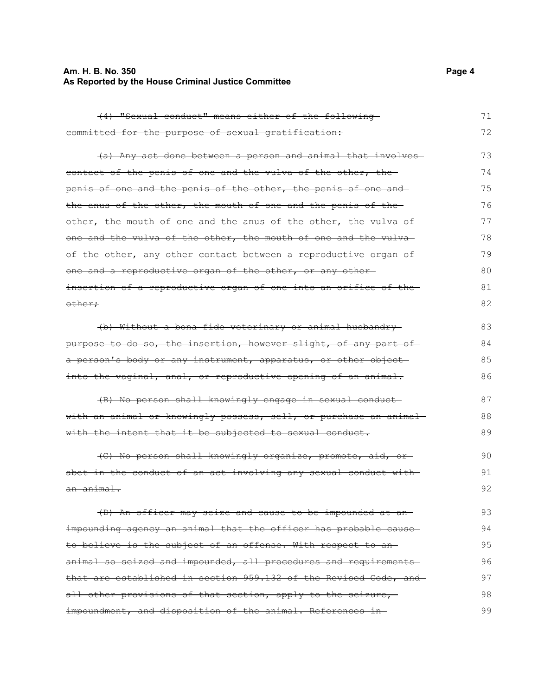## **Am. H. B. No. 350 Page 4 As Reported by the House Criminal Justice Committee**

| (4) "Sexual conduct" means either of the following               | 71 |
|------------------------------------------------------------------|----|
| committed for the purpose of sexual gratification:               | 72 |
| (a) Any act done between a person and animal that involves-      | 73 |
| contact of the penis of one and the vulva of the other, the      | 74 |
| penis of one and the penis of the other, the penis of one and-   | 75 |
| the anus of the other, the mouth of one and the penis of the     | 76 |
| other, the mouth of one and the anus of the other, the vulva of  | 77 |
| one and the vulva of the other, the mouth of one and the vulva-  | 78 |
| of the other, any other contact between a reproductive organ of  | 79 |
| one and a reproductive organ of the other, or any other-         | 80 |
| insertion of a reproductive organ of one into an orifice of the- | 81 |
| <del>other;</del>                                                | 82 |
| (b) Without a bona fide veterinary or animal husbandry           | 83 |
| purpose to do so, the insertion, however slight, of any part of  | 84 |
| a person's body or any instrument, apparatus, or other object    | 85 |
| into the vaginal, anal, or reproductive opening of an animal.    | 86 |
| (B) No person shall knowingly engage in sexual conduct-          | 87 |
| with an animal or knowingly possess, sell, or purchase an animal | 88 |
| with the intent that it be subjected to sexual conduct.          | 89 |
| (C) No person shall knowingly organize, promote, aid, or-        | 90 |
| abet in the conduct of an act involving any sexual conduct with  | 91 |
| an animal.                                                       | 92 |
| (D) An officer may seize and cause to be impounded at an-        | 93 |
| impounding agency an animal that the officer has probable cause- | 94 |
| to believe is the subject of an offense. With respect to an-     | 95 |
| animal so seized and impounded, all procedures and requirements- | 96 |
| that are established in section 959.132 of the Revised Code, and | 97 |
| all other provisions of that section, apply to the seizure,      | 98 |
| impoundment, and disposition of the animal. References in-       | 99 |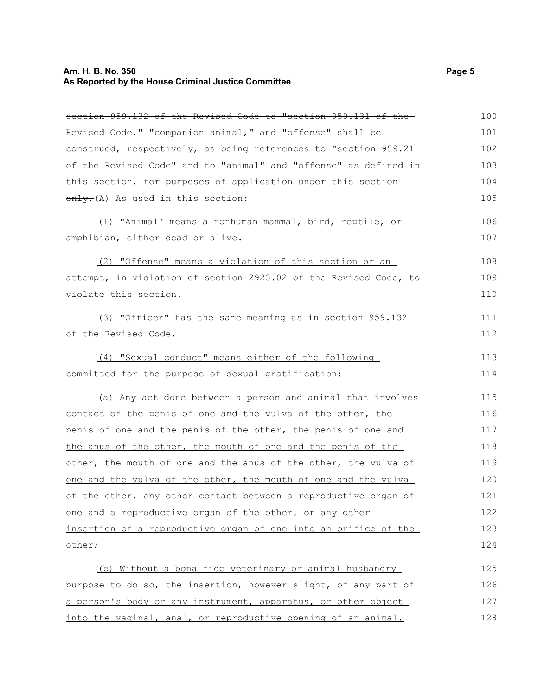## **Am. H. B. No. 350 Page 5 As Reported by the House Criminal Justice Committee**

| section 959.132 of the Revised Code to "section 959.131 of the-   | 100 |
|-------------------------------------------------------------------|-----|
| Revised Code," "companion animal," and "offense" shall be-        | 101 |
| eonstrued, respectively, as being references to "section 959.21-  | 102 |
| of the Revised Code" and to "animal" and "offense" as defined in- | 103 |
| this section, for purposes of application under this section-     | 104 |
| only-(A) As used in this section:                                 | 105 |
| (1) "Animal" means a nonhuman mammal, bird, reptile, or           | 106 |
| <u>amphibian, either dead or alive.</u>                           | 107 |
| (2) "Offense" means a violation of this section or an             | 108 |
| attempt, in violation of section 2923.02 of the Revised Code, to  | 109 |
| violate this section.                                             | 110 |
| (3) "Officer" has the same meaning as in section 959.132          | 111 |
| of the Revised Code.                                              | 112 |
| (4) "Sexual conduct" means either of the following                | 113 |
| committed for the purpose of sexual gratification:                | 114 |
| (a) Any act done between a person and animal that involves        | 115 |
| contact of the penis of one and the vulva of the other, the       | 116 |
| penis of one and the penis of the other, the penis of one and     | 117 |
| the anus of the other, the mouth of one and the penis of the      | 118 |
| other, the mouth of one and the anus of the other, the vulva of   | 119 |
| one and the vulva of the other, the mouth of one and the vulva    | 120 |
| of the other, any other contact between a reproductive organ of   | 121 |
| one and a reproductive organ of the other, or any other           | 122 |
| insertion of a reproductive organ of one into an orifice of the   | 123 |
| other;                                                            | 124 |
| (b) Without a bona fide veterinary or animal husbandry            | 125 |
| purpose to do so, the insertion, however slight, of any part of   | 126 |
| a person's body or any instrument, apparatus, or other object     | 127 |
| into the vaginal, anal, or reproductive opening of an animal.     | 128 |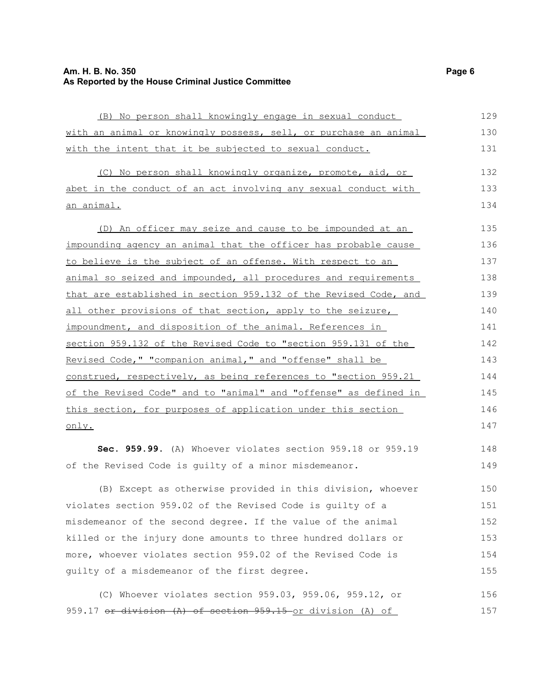## **Am. H. B. No. 350 Page 6 As Reported by the House Criminal Justice Committee**

| (B) No person shall knowingly engage in sexual conduct           | 129 |
|------------------------------------------------------------------|-----|
| with an animal or knowingly possess, sell, or purchase an animal | 130 |
| with the intent that it be subjected to sexual conduct.          | 131 |
| (C) No person shall knowingly organize, promote, aid, or         | 132 |
| abet in the conduct of an act involving any sexual conduct with  | 133 |
| an animal.                                                       | 134 |
| (D) An officer may seize and cause to be impounded at an         | 135 |
| impounding agency an animal that the officer has probable cause  | 136 |
| to believe is the subject of an offense. With respect to an      | 137 |
| animal so seized and impounded, all procedures and requirements  | 138 |
| that are established in section 959.132 of the Revised Code, and | 139 |
| all other provisions of that section, apply to the seizure,      | 140 |
| impoundment, and disposition of the animal. References in        | 141 |
| section 959.132 of the Revised Code to "section 959.131 of the   | 142 |
| Revised Code," "companion animal," and "offense" shall be        | 143 |
| construed, respectively, as being references to "section 959.21  | 144 |
| of the Revised Code" and to "animal" and "offense" as defined in | 145 |
| this section, for purposes of application under this section     | 146 |
| only.                                                            | 147 |
| Sec. 959.99. (A) Whoever violates section 959.18 or 959.19       | 148 |
| of the Revised Code is guilty of a minor misdemeanor.            | 149 |
| (B) Except as otherwise provided in this division, whoever       | 150 |
| violates section 959.02 of the Revised Code is guilty of a       | 151 |
| misdemeanor of the second degree. If the value of the animal     | 152 |
| killed or the injury done amounts to three hundred dollars or    | 153 |
| more, whoever violates section 959.02 of the Revised Code is     |     |
| guilty of a misdemeanor of the first degree.                     | 155 |
|                                                                  |     |

(C) Whoever violates section 959.03, 959.06, 959.12, or 959.17 or division (A) of section 959.15 or division (A) of 156 157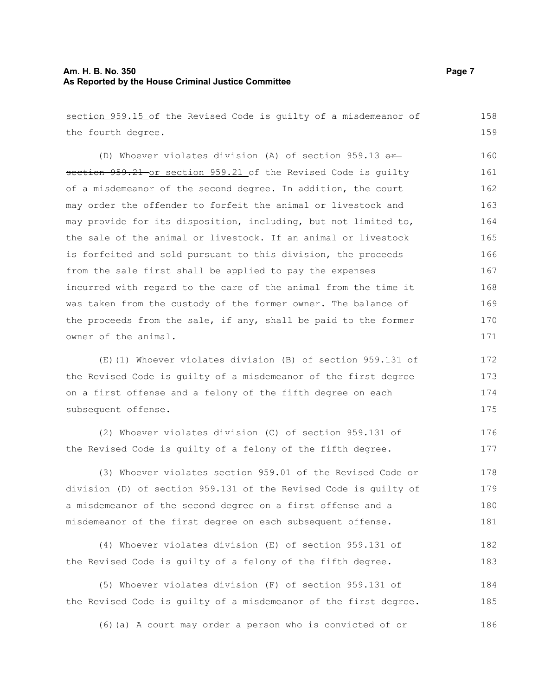### **Am. H. B. No. 350 Page 7 As Reported by the House Criminal Justice Committee**

section 959.15 of the Revised Code is guilty of a misdemeanor of the fourth degree. (D) Whoever violates division (A) of section 959.13  $\sigma$ rsection 959.21 or section 959.21 of the Revised Code is guilty of a misdemeanor of the second degree. In addition, the court may order the offender to forfeit the animal or livestock and may provide for its disposition, including, but not limited to, the sale of the animal or livestock. If an animal or livestock is forfeited and sold pursuant to this division, the proceeds from the sale first shall be applied to pay the expenses incurred with regard to the care of the animal from the time it was taken from the custody of the former owner. The balance of the proceeds from the sale, if any, shall be paid to the former owner of the animal. (E)(1) Whoever violates division (B) of section 959.131 of the Revised Code is guilty of a misdemeanor of the first degree on a first offense and a felony of the fifth degree on each subsequent offense. (2) Whoever violates division (C) of section 959.131 of the Revised Code is guilty of a felony of the fifth degree. (3) Whoever violates section 959.01 of the Revised Code or division (D) of section 959.131 of the Revised Code is guilty of a misdemeanor of the second degree on a first offense and a misdemeanor of the first degree on each subsequent offense. (4) Whoever violates division (E) of section 959.131 of the Revised Code is guilty of a felony of the fifth degree. (5) Whoever violates division (F) of section 959.131 of the Revised Code is guilty of a misdemeanor of the first degree. (6)(a) A court may order a person who is convicted of or 158 159 160 161 162 163 164 165 166 167 168 169 170 171 172 173 174 175 176 177 178 179 180 181 182 183 184 185 186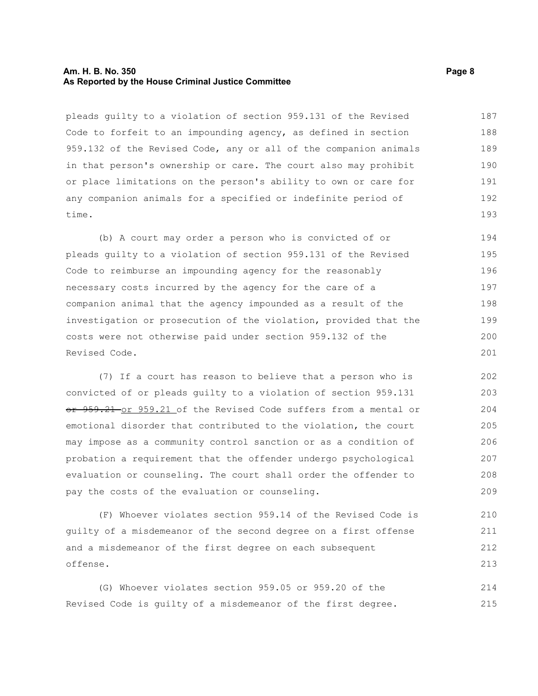### **Am. H. B. No. 350 Page 8 As Reported by the House Criminal Justice Committee**

pleads guilty to a violation of section 959.131 of the Revised Code to forfeit to an impounding agency, as defined in section 959.132 of the Revised Code, any or all of the companion animals in that person's ownership or care. The court also may prohibit or place limitations on the person's ability to own or care for any companion animals for a specified or indefinite period of time. 187 188 189 190 191 192 193

(b) A court may order a person who is convicted of or pleads guilty to a violation of section 959.131 of the Revised Code to reimburse an impounding agency for the reasonably necessary costs incurred by the agency for the care of a companion animal that the agency impounded as a result of the investigation or prosecution of the violation, provided that the costs were not otherwise paid under section 959.132 of the Revised Code. 194 195 196 197 198 199 200 201

(7) If a court has reason to believe that a person who is convicted of or pleads guilty to a violation of section 959.131 or 959.21 or 959.21 of the Revised Code suffers from a mental or emotional disorder that contributed to the violation, the court may impose as a community control sanction or as a condition of probation a requirement that the offender undergo psychological evaluation or counseling. The court shall order the offender to pay the costs of the evaluation or counseling.

(F) Whoever violates section 959.14 of the Revised Code is guilty of a misdemeanor of the second degree on a first offense and a misdemeanor of the first degree on each subsequent offense. 210 211 212 213

(G) Whoever violates section 959.05 or 959.20 of the Revised Code is guilty of a misdemeanor of the first degree. 214 215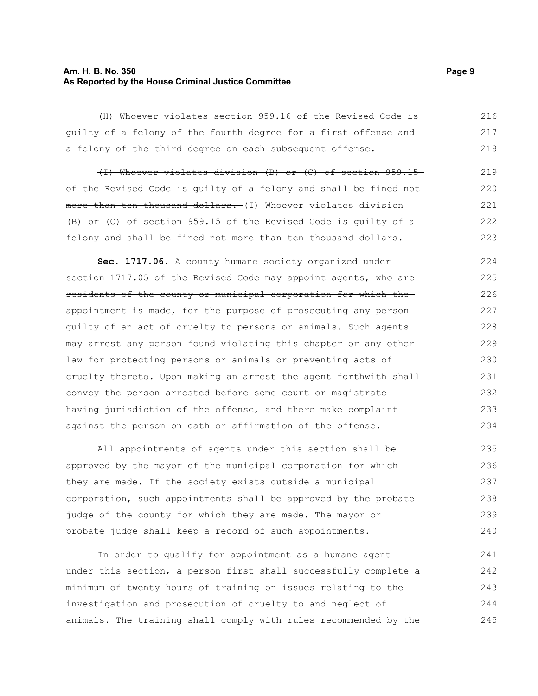### **Am. H. B. No. 350 Page 9 As Reported by the House Criminal Justice Committee**

(H) Whoever violates section 959.16 of the Revised Code is guilty of a felony of the fourth degree for a first offense and a felony of the third degree on each subsequent offense. 216 217 218

(I) Whoever violates division (B) or (C) of section 959.15 of the Revised Code is guilty of a felony and shall be fined not more than ten thousand dollars. (I) Whoever violates division (B) or (C) of section 959.15 of the Revised Code is guilty of a felony and shall be fined not more than ten thousand dollars. 219 220 221 222 223

**Sec. 1717.06.** A county humane society organized under section 1717.05 of the Revised Code may appoint agents, who areresidents of the county or municipal corporation for which the appointment is made, for the purpose of prosecuting any person guilty of an act of cruelty to persons or animals. Such agents may arrest any person found violating this chapter or any other law for protecting persons or animals or preventing acts of cruelty thereto. Upon making an arrest the agent forthwith shall convey the person arrested before some court or magistrate having jurisdiction of the offense, and there make complaint against the person on oath or affirmation of the offense. 224 225 226 227 228 229 230 231 232 233 234

All appointments of agents under this section shall be approved by the mayor of the municipal corporation for which they are made. If the society exists outside a municipal corporation, such appointments shall be approved by the probate judge of the county for which they are made. The mayor or probate judge shall keep a record of such appointments. 235 236 237 238 239 240

In order to qualify for appointment as a humane agent under this section, a person first shall successfully complete a minimum of twenty hours of training on issues relating to the investigation and prosecution of cruelty to and neglect of animals. The training shall comply with rules recommended by the 241 242 243 244 245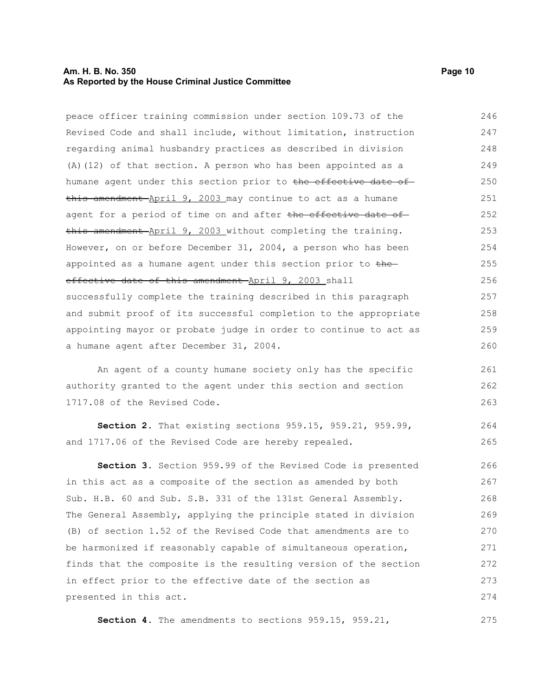### **Am. H. B. No. 350 Page 10 As Reported by the House Criminal Justice Committee**

peace officer training commission under section 109.73 of the Revised Code and shall include, without limitation, instruction

regarding animal husbandry practices as described in division (A)(12) of that section. A person who has been appointed as a humane agent under this section prior to the effective date ofthis amendment April 9, 2003 may continue to act as a humane agent for a period of time on and after the effective date of this amendment April 9, 2003 without completing the training. However, on or before December 31, 2004, a person who has been appointed as a humane agent under this section prior to the effective date of this amendment April 9, 2003 shall successfully complete the training described in this paragraph and submit proof of its successful completion to the appropriate appointing mayor or probate judge in order to continue to act as a humane agent after December 31, 2004. 248 249 250 251 252 253 254 255 256 257 258 259 260

An agent of a county humane society only has the specific authority granted to the agent under this section and section 1717.08 of the Revised Code.

**Section 2.** That existing sections 959.15, 959.21, 959.99, and 1717.06 of the Revised Code are hereby repealed. 264 265

**Section 3.** Section 959.99 of the Revised Code is presented in this act as a composite of the section as amended by both Sub. H.B. 60 and Sub. S.B. 331 of the 131st General Assembly. The General Assembly, applying the principle stated in division (B) of section 1.52 of the Revised Code that amendments are to be harmonized if reasonably capable of simultaneous operation, finds that the composite is the resulting version of the section in effect prior to the effective date of the section as presented in this act. 266 267 268 269 270 271 272 273 274

**Section 4.** The amendments to sections 959.15, 959.21, 275

246 247

261 262 263